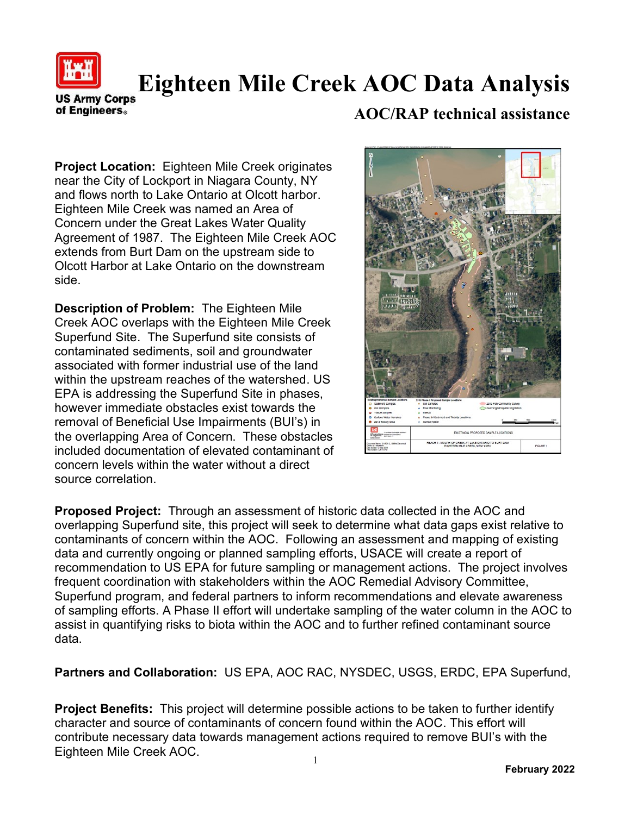

## **Eighteen Mile Creek AOC Data Analysis**

**US Army Corps** of Engineers.

## **AOC/RAP technical assistance**

**Project Location:** Eighteen Mile Creek originates near the City of Lockport in Niagara County, NY and flows north to Lake Ontario at Olcott harbor. Eighteen Mile Creek was named an Area of Concern under the Great Lakes Water Quality Agreement of 1987. The Eighteen Mile Creek AOC extends from Burt Dam on the upstream side to Olcott Harbor at Lake Ontario on the downstream side.

**Description of Problem:** The Eighteen Mile Creek AOC overlaps with the Eighteen Mile Creek Superfund Site. The Superfund site consists of contaminated sediments, soil and groundwater associated with former industrial use of the land within the upstream reaches of the watershed. US EPA is addressing the Superfund Site in phases, however immediate obstacles exist towards the removal of Beneficial Use Impairments (BUI's) in the overlapping Area of Concern. These obstacles included documentation of elevated contaminant of concern levels within the water without a direct source correlation.



**Proposed Project:** Through an assessment of historic data collected in the AOC and overlapping Superfund site, this project will seek to determine what data gaps exist relative to contaminants of concern within the AOC. Following an assessment and mapping of existing data and currently ongoing or planned sampling efforts, USACE will create a report of recommendation to US EPA for future sampling or management actions. The project involves frequent coordination with stakeholders within the AOC Remedial Advisory Committee, Superfund program, and federal partners to inform recommendations and elevate awareness of sampling efforts. A Phase II effort will undertake sampling of the water column in the AOC to assist in quantifying risks to biota within the AOC and to further refined contaminant source data.

**Partners and Collaboration:** US EPA, AOC RAC, NYSDEC, USGS, ERDC, EPA Superfund,

**Project Benefits:** This project will determine possible actions to be taken to further identify character and source of contaminants of concern found within the AOC. This effort will contribute necessary data towards management actions required to remove BUI's with the Eighteen Mile Creek AOC.